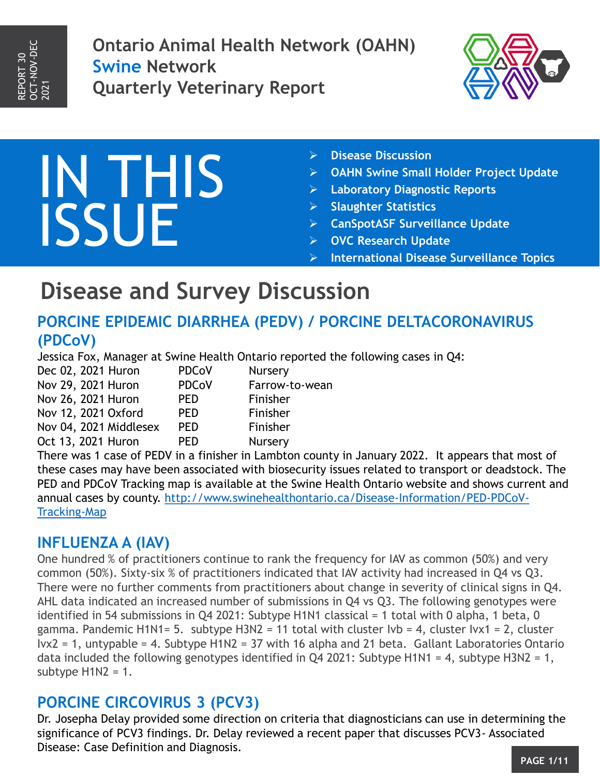**Ontario Animal Health Network (OAHN) Swine Network Quarterly Veterinary Report**



# IN THIS ISSUE

- **Disease Discussion**
- **OAHN Swine Small Holder Project Update**
- **Laboratory Diagnostic Reports**
- **Slaughter Statistics**
- **CanSpotASF Surveillance Update**
- **OVC Research Update**
- **International Disease Surveillance Topics**

### **Disease and Survey Discussion**

### **PORCINE EPIDEMIC DIARRHEA (PEDV) / PORCINE DELTACORONAVIRUS (PDCoV)**

Jessica Fox, Manager at Swine Health Ontario reported the following cases in Q4:

| Dec 02, 2021 Huron<br>Nov 29, 2021 Huron<br>Nov 26, 2021 Huron<br>Nov 12, 2021 Oxford<br>Nov 04, 2021 Middlesex | <b>PDCoV</b>                                           | Nursery                                            |                    |            |         |
|-----------------------------------------------------------------------------------------------------------------|--------------------------------------------------------|----------------------------------------------------|--------------------|------------|---------|
|                                                                                                                 | <b>PDCoV</b><br><b>PED</b><br><b>PED</b><br><b>PED</b> | Farrow-to-wean<br>Finisher<br>Finisher<br>Finisher |                    |            |         |
|                                                                                                                 |                                                        |                                                    | Oct 13, 2021 Huron | <b>PED</b> | Nursery |

There was 1 case of PEDV in a finisher in Lambton county in January 2022. It appears that most of these cases may have been associated with biosecurity issues related to transport or deadstock. The PED and PDCoV Tracking map is available at the Swine Health Ontario website and shows current and [annual cases by county. http://www.swinehealthontario.ca/Disease-Information/PED-PDCoV-](http://www.swinehealthontario.ca/Disease-Information/PED-PDCoV-Tracking-Map)Tracking-Map

### **INFLUENZA A (IAV)**

One hundred % of practitioners continue to rank the frequency for IAV as common (50%) and very common (50%). Sixty-six % of practitioners indicated that IAV activity had increased in Q4 vs Q3. There were no further comments from practitioners about change in severity of clinical signs in Q4. AHL data indicated an increased number of submissions in Q4 vs Q3. The following genotypes were identified in 54 submissions in Q4 2021: Subtype H1N1 classical = 1 total with 0 alpha, 1 beta, 0 gamma. Pandemic H1N1= 5. subtype H3N2 = 11 total with cluster Ivb = 4, cluster Ivx1 = 2, cluster Ivx2 = 1, untypable = 4. Subtype H1N2 = 37 with 16 alpha and 21 beta. Gallant Laboratories Ontario data included the following genotypes identified in Q4 2021: Subtype H1N1 = 4, subtype H3N2 = 1, subtype  $H1N2 = 1$ .

### **PORCINE CIRCOVIRUS 3 (PCV3)**

Dr. Josepha Delay provided some direction on criteria that diagnosticians can use in determining the significance of PCV3 findings. Dr. Delay reviewed a recent paper that discusses PCV3- Associated Disease: Case Definition and Diagnosis.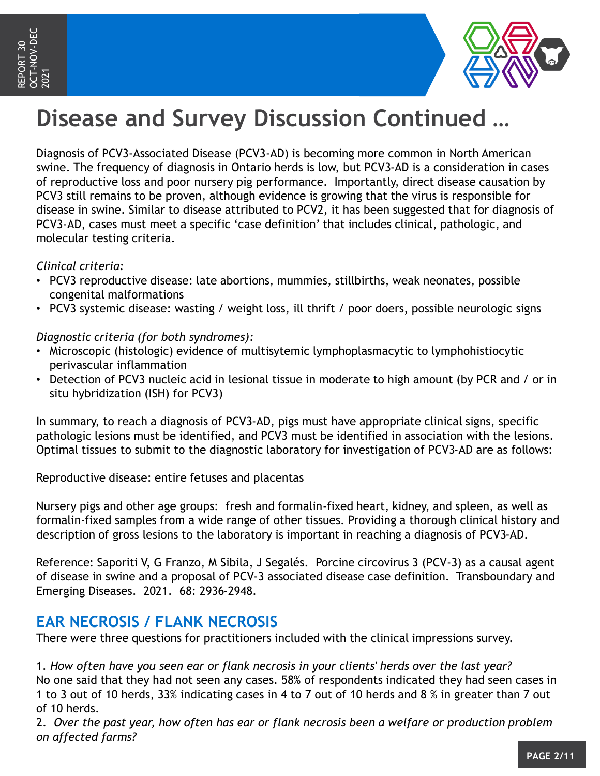

# **Disease and Survey Discussion Continued …**

Diagnosis of PCV3-Associated Disease (PCV3-AD) is becoming more common in North American swine. The frequency of diagnosis in Ontario herds is low, but PCV3-AD is a consideration in cases of reproductive loss and poor nursery pig performance. Importantly, direct disease causation by PCV3 still remains to be proven, although evidence is growing that the virus is responsible for disease in swine. Similar to disease attributed to PCV2, it has been suggested that for diagnosis of PCV3-AD, cases must meet a specific 'case definition' that includes clinical, pathologic, and molecular testing criteria.

#### *Clinical criteria:*

- PCV3 reproductive disease: late abortions, mummies, stillbirths, weak neonates, possible congenital malformations
- PCV3 systemic disease: wasting / weight loss, ill thrift / poor doers, possible neurologic signs

#### *Diagnostic criteria (for both syndromes):*

- Microscopic (histologic) evidence of multisytemic lymphoplasmacytic to lymphohistiocytic perivascular inflammation
- Detection of PCV3 nucleic acid in lesional tissue in moderate to high amount (by PCR and / or in situ hybridization (ISH) for PCV3)

In summary, to reach a diagnosis of PCV3-AD, pigs must have appropriate clinical signs, specific pathologic lesions must be identified, and PCV3 must be identified in association with the lesions. Optimal tissues to submit to the diagnostic laboratory for investigation of PCV3-AD are as follows:

Reproductive disease: entire fetuses and placentas

Nursery pigs and other age groups: fresh and formalin-fixed heart, kidney, and spleen, as well as formalin-fixed samples from a wide range of other tissues. Providing a thorough clinical history and description of gross lesions to the laboratory is important in reaching a diagnosis of PCV3-AD.

Reference: Saporiti V, G Franzo, M Sibila, J Segalés. Porcine circovirus 3 (PCV-3) as a causal agent of disease in swine and a proposal of PCV-3 associated disease case definition. Transboundary and Emerging Diseases. 2021. 68: 2936-2948.

### **EAR NECROSIS / FLANK NECROSIS**

There were three questions for practitioners included with the clinical impressions survey.

1. *How often have you seen ear or flank necrosis in your clients' herds over the last year?* No one said that they had not seen any cases. 58% of respondents indicated they had seen cases in 1 to 3 out of 10 herds, 33% indicating cases in 4 to 7 out of 10 herds and 8 % in greater than 7 out of 10 herds.

2. *Over the past year, how often has ear or flank necrosis been a welfare or production problem on affected farms?*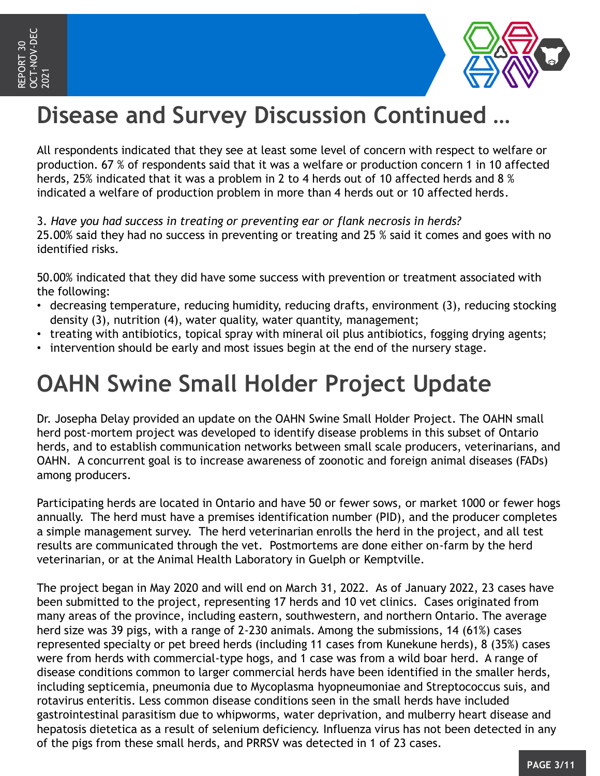

# **Disease and Survey Discussion Continued …**

All respondents indicated that they see at least some level of concern with respect to welfare or production. 67 % of respondents said that it was a welfare or production concern 1 in 10 affected herds, 25% indicated that it was a problem in 2 to 4 herds out of 10 affected herds and 8 % indicated a welfare of production problem in more than 4 herds out or 10 affected herds.

3. *Have you had success in treating or preventing ear or flank necrosis in herds?* 25.00% said they had no success in preventing or treating and 25 % said it comes and goes with no identified risks.

50.00% indicated that they did have some success with prevention or treatment associated with the following:

- decreasing temperature, reducing humidity, reducing drafts, environment (3), reducing stocking density (3), nutrition (4), water quality, water quantity, management;
- treating with antibiotics, topical spray with mineral oil plus antibiotics, fogging drying agents;
- intervention should be early and most issues begin at the end of the nursery stage.

### **OAHN Swine Small Holder Project Update**

Dr. Josepha Delay provided an update on the OAHN Swine Small Holder Project. The OAHN small herd post-mortem project was developed to identify disease problems in this subset of Ontario herds, and to establish communication networks between small scale producers, veterinarians, and OAHN. A concurrent goal is to increase awareness of zoonotic and foreign animal diseases (FADs) among producers.

Participating herds are located in Ontario and have 50 or fewer sows, or market 1000 or fewer hogs annually. The herd must have a premises identification number (PID), and the producer completes a simple management survey. The herd veterinarian enrolls the herd in the project, and all test results are communicated through the vet. Postmortems are done either on-farm by the herd veterinarian, or at the Animal Health Laboratory in Guelph or Kemptville.

The project began in May 2020 and will end on March 31, 2022. As of January 2022, 23 cases have been submitted to the project, representing 17 herds and 10 vet clinics. Cases originated from many areas of the province, including eastern, southwestern, and northern Ontario. The average herd size was 39 pigs, with a range of 2-230 animals. Among the submissions, 14 (61%) cases represented specialty or pet breed herds (including 11 cases from Kunekune herds), 8 (35%) cases were from herds with commercial-type hogs, and 1 case was from a wild boar herd. A range of disease conditions common to larger commercial herds have been identified in the smaller herds, including septicemia, pneumonia due to Mycoplasma hyopneumoniae and Streptococcus suis, and rotavirus enteritis. Less common disease conditions seen in the small herds have included gastrointestinal parasitism due to whipworms, water deprivation, and mulberry heart disease and hepatosis dietetica as a result of selenium deficiency. Influenza virus has not been detected in any of the pigs from these small herds, and PRRSV was detected in 1 of 23 cases.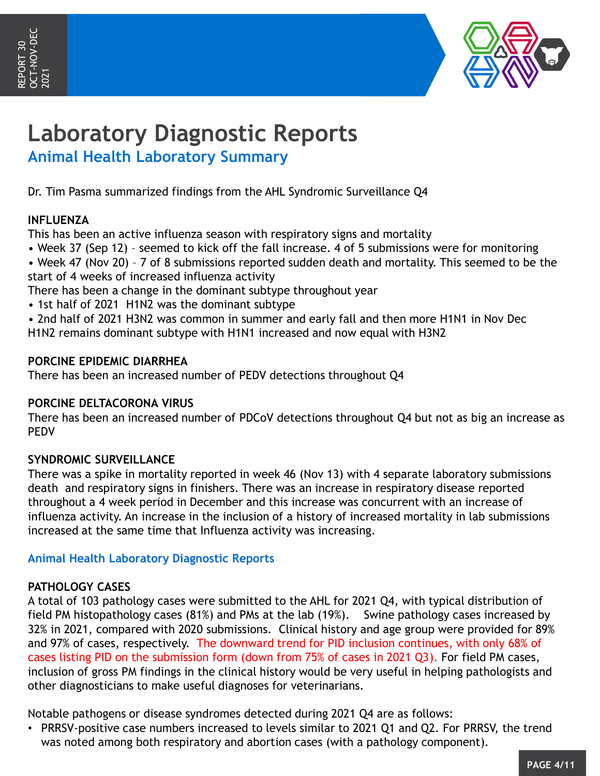

# **Laboratory Diagnostic Reports**

**Animal Health Laboratory Summary**

Dr. Tim Pasma summarized findings from the AHL Syndromic Surveillance Q4

#### **INFLUENZA**

This has been an active influenza season with respiratory signs and mortality

- Week 37 (Sep 12) seemed to kick off the fall increase. 4 of 5 submissions were for monitoring
- Week 47 (Nov 20) 7 of 8 submissions reported sudden death and mortality. This seemed to be the start of 4 weeks of increased influenza activity

There has been a change in the dominant subtype throughout year

- 1st half of 2021 H1N2 was the dominant subtype
- 2nd half of 2021 H3N2 was common in summer and early fall and then more H1N1 in Nov Dec

H1N2 remains dominant subtype with H1N1 increased and now equal with H3N2

#### **PORCINE EPIDEMIC DIARRHEA**

There has been an increased number of PEDV detections throughout Q4

#### **PORCINE DELTACORONA VIRUS**

There has been an increased number of PDCoV detections throughout Q4 but not as big an increase as PEDV

#### **SYNDROMIC SURVEILLANCE**

There was a spike in mortality reported in week 46 (Nov 13) with 4 separate laboratory submissions death and respiratory signs in finishers. There was an increase in respiratory disease reported throughout a 4 week period in December and this increase was concurrent with an increase of influenza activity. An increase in the inclusion of a history of increased mortality in lab submissions increased at the same time that Influenza activity was increasing.

#### **Animal Health Laboratory Diagnostic Reports**

#### **PATHOLOGY CASES**

A total of 103 pathology cases were submitted to the AHL for 2021 Q4, with typical distribution of field PM histopathology cases (81%) and PMs at the lab (19%). Swine pathology cases increased by 32% in 2021, compared with 2020 submissions. Clinical history and age group were provided for 89% and 97% of cases, respectively. The downward trend for PID inclusion continues, with only 68% of cases listing PID on the submission form (down from 75% of cases in 2021 Q3). For field PM cases, inclusion of gross PM findings in the clinical history would be very useful in helping pathologists and other diagnosticians to make useful diagnoses for veterinarians.

Notable pathogens or disease syndromes detected during 2021 Q4 are as follows:

• PRRSV-positive case numbers increased to levels similar to 2021 Q1 and Q2. For PRRSV, the trend was noted among both respiratory and abortion cases (with a pathology component).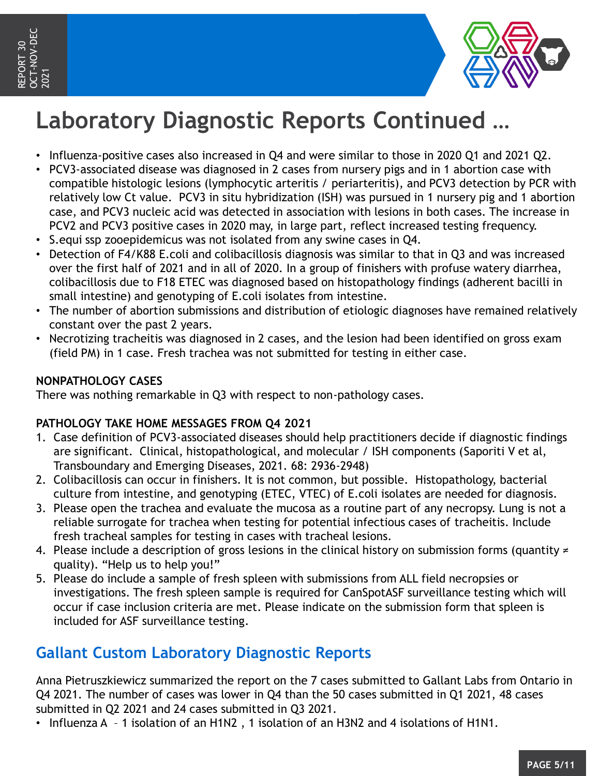

# **Laboratory Diagnostic Reports Continued …**

- Influenza-positive cases also increased in Q4 and were similar to those in 2020 Q1 and 2021 Q2.
- PCV3-associated disease was diagnosed in 2 cases from nursery pigs and in 1 abortion case with compatible histologic lesions (lymphocytic arteritis / periarteritis), and PCV3 detection by PCR with relatively low Ct value. PCV3 in situ hybridization (ISH) was pursued in 1 nursery pig and 1 abortion case, and PCV3 nucleic acid was detected in association with lesions in both cases. The increase in PCV2 and PCV3 positive cases in 2020 may, in large part, reflect increased testing frequency.
- S.equi ssp zooepidemicus was not isolated from any swine cases in Q4.
- Detection of F4/K88 E.coli and colibacillosis diagnosis was similar to that in Q3 and was increased over the first half of 2021 and in all of 2020. In a group of finishers with profuse watery diarrhea, colibacillosis due to F18 ETEC was diagnosed based on histopathology findings (adherent bacilli in small intestine) and genotyping of E.coli isolates from intestine.
- The number of abortion submissions and distribution of etiologic diagnoses have remained relatively constant over the past 2 years.
- Necrotizing tracheitis was diagnosed in 2 cases, and the lesion had been identified on gross exam (field PM) in 1 case. Fresh trachea was not submitted for testing in either case.

#### **NONPATHOLOGY CASES**

There was nothing remarkable in Q3 with respect to non-pathology cases.

#### **PATHOLOGY TAKE HOME MESSAGES FROM Q4 2021**

- 1. Case definition of PCV3-associated diseases should help practitioners decide if diagnostic findings are significant. Clinical, histopathological, and molecular / ISH components (Saporiti V et al, Transboundary and Emerging Diseases, 2021. 68: 2936-2948)
- 2. Colibacillosis can occur in finishers. It is not common, but possible. Histopathology, bacterial culture from intestine, and genotyping (ETEC, VTEC) of E.coli isolates are needed for diagnosis.
- 3. Please open the trachea and evaluate the mucosa as a routine part of any necropsy. Lung is not a reliable surrogate for trachea when testing for potential infectious cases of tracheitis. Include fresh tracheal samples for testing in cases with tracheal lesions.
- 4. Please include a description of gross lesions in the clinical history on submission forms (quantity ≠ quality). "Help us to help you!"
- 5. Please do include a sample of fresh spleen with submissions from ALL field necropsies or investigations. The fresh spleen sample is required for CanSpotASF surveillance testing which will occur if case inclusion criteria are met. Please indicate on the submission form that spleen is included for ASF surveillance testing.

### **Gallant Custom Laboratory Diagnostic Reports**

Anna Pietruszkiewicz summarized the report on the 7 cases submitted to Gallant Labs from Ontario in Q4 2021. The number of cases was lower in Q4 than the 50 cases submitted in Q1 2021, 48 cases submitted in Q2 2021 and 24 cases submitted in Q3 2021.

• Influenza A – 1 isolation of an H1N2 , 1 isolation of an H3N2 and 4 isolations of H1N1.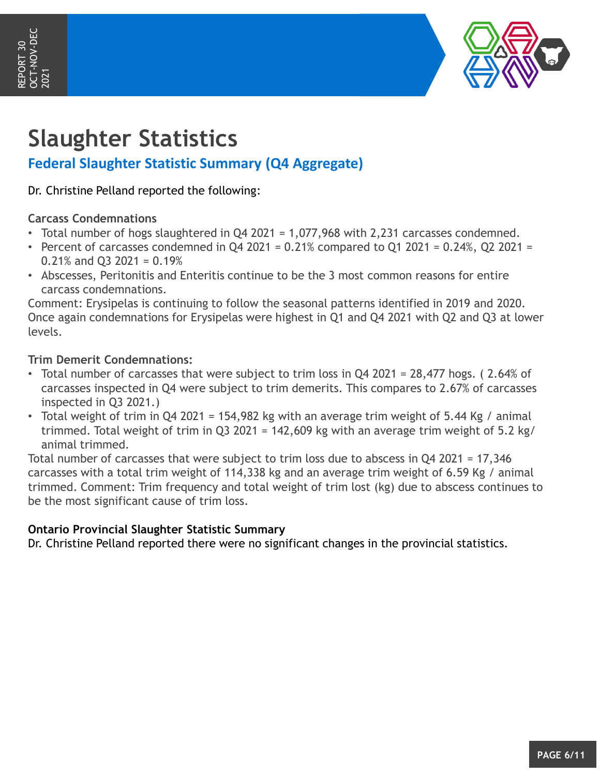

# **Slaughter Statistics**

### **Federal Slaughter Statistic Summary (Q4 Aggregate)**

Dr. Christine Pelland reported the following:

#### **Carcass Condemnations**

- Total number of hogs slaughtered in Q4 2021 = 1,077,968 with 2,231 carcasses condemned.
- Percent of carcasses condemned in Q4 2021 =  $0.21\%$  compared to Q1 2021 =  $0.24\%$ , Q2 2021 = 0.21% and Q3 2021 = 0.19%
- Abscesses, Peritonitis and Enteritis continue to be the 3 most common reasons for entire carcass condemnations.

Comment: Erysipelas is continuing to follow the seasonal patterns identified in 2019 and 2020. Once again condemnations for Erysipelas were highest in Q1 and Q4 2021 with Q2 and Q3 at lower levels.

#### **Trim Demerit Condemnations:**

- Total number of carcasses that were subject to trim loss in Q4 2021 = 28,477 hogs. ( 2.64% of carcasses inspected in Q4 were subject to trim demerits. This compares to 2.67% of carcasses inspected in Q3 2021.)
- Total weight of trim in Q4 2021 = 154,982 kg with an average trim weight of 5.44 Kg / animal trimmed. Total weight of trim in Q3 2021 = 142,609 kg with an average trim weight of 5.2 kg/ animal trimmed.

Total number of carcasses that were subject to trim loss due to abscess in Q4 2021 = 17,346 carcasses with a total trim weight of 114,338 kg and an average trim weight of 6.59 Kg / animal trimmed. Comment: Trim frequency and total weight of trim lost (kg) due to abscess continues to be the most significant cause of trim loss.

#### **Ontario Provincial Slaughter Statistic Summary**

Dr. Christine Pelland reported there were no significant changes in the provincial statistics.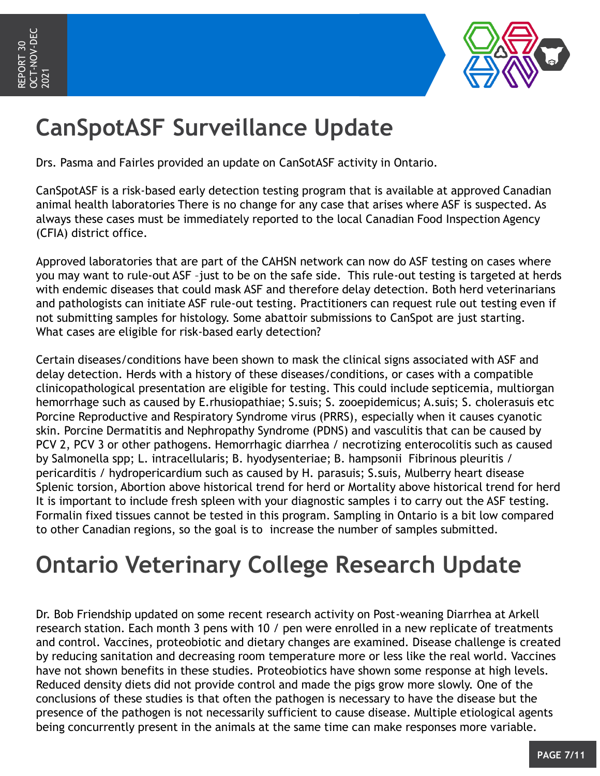

# **CanSpotASF Surveillance Update**

Drs. Pasma and Fairles provided an update on CanSotASF activity in Ontario.

CanSpotASF is a risk-based early detection testing program that is available at approved Canadian animal health laboratories There is no change for any case that arises where ASF is suspected. As always these cases must be immediately reported to the local Canadian Food Inspection Agency (CFIA) district office.

Approved laboratories that are part of the CAHSN network can now do ASF testing on cases where you may want to rule-out ASF –just to be on the safe side. This rule-out testing is targeted at herds with endemic diseases that could mask ASF and therefore delay detection. Both herd veterinarians and pathologists can initiate ASF rule-out testing. Practitioners can request rule out testing even if not submitting samples for histology. Some abattoir submissions to CanSpot are just starting. What cases are eligible for risk-based early detection?

Certain diseases/conditions have been shown to mask the clinical signs associated with ASF and delay detection. Herds with a history of these diseases/conditions, or cases with a compatible clinicopathological presentation are eligible for testing. This could include septicemia, multiorgan hemorrhage such as caused by E.rhusiopathiae; S.suis; S. zooepidemicus; A.suis; S. cholerasuis etc Porcine Reproductive and Respiratory Syndrome virus (PRRS), especially when it causes cyanotic skin. Porcine Dermatitis and Nephropathy Syndrome (PDNS) and vasculitis that can be caused by PCV 2, PCV 3 or other pathogens. Hemorrhagic diarrhea / necrotizing enterocolitis such as caused by Salmonella spp; L. intracellularis; B. hyodysenteriae; B. hampsonii Fibrinous pleuritis / pericarditis / hydropericardium such as caused by H. parasuis; S.suis, Mulberry heart disease Splenic torsion, Abortion above historical trend for herd or Mortality above historical trend for herd It is important to include fresh spleen with your diagnostic samples i to carry out the ASF testing. Formalin fixed tissues cannot be tested in this program. Sampling in Ontario is a bit low compared to other Canadian regions, so the goal is to increase the number of samples submitted.

# **Ontario Veterinary College Research Update**

Dr. Bob Friendship updated on some recent research activity on Post-weaning Diarrhea at Arkell research station. Each month 3 pens with 10 / pen were enrolled in a new replicate of treatments and control. Vaccines, proteobiotic and dietary changes are examined. Disease challenge is created by reducing sanitation and decreasing room temperature more or less like the real world. Vaccines have not shown benefits in these studies. Proteobiotics have shown some response at high levels. Reduced density diets did not provide control and made the pigs grow more slowly. One of the conclusions of these studies is that often the pathogen is necessary to have the disease but the presence of the pathogen is not necessarily sufficient to cause disease. Multiple etiological agents being concurrently present in the animals at the same time can make responses more variable.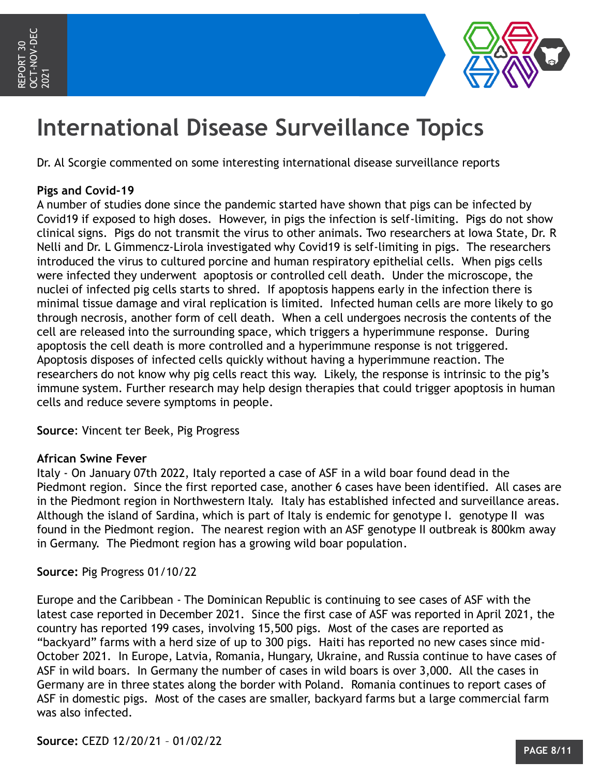

# **International Disease Surveillance Topics**

Dr. Al Scorgie commented on some interesting international disease surveillance reports

#### **Pigs and Covid-19**

A number of studies done since the pandemic started have shown that pigs can be infected by Covid19 if exposed to high doses. However, in pigs the infection is self-limiting. Pigs do not show clinical signs. Pigs do not transmit the virus to other animals. Two researchers at Iowa State, Dr. R Nelli and Dr. L Gimmencz-Lirola investigated why Covid19 is self-limiting in pigs. The researchers introduced the virus to cultured porcine and human respiratory epithelial cells. When pigs cells were infected they underwent apoptosis or controlled cell death. Under the microscope, the nuclei of infected pig cells starts to shred. If apoptosis happens early in the infection there is minimal tissue damage and viral replication is limited. Infected human cells are more likely to go through necrosis, another form of cell death. When a cell undergoes necrosis the contents of the cell are released into the surrounding space, which triggers a hyperimmune response. During apoptosis the cell death is more controlled and a hyperimmune response is not triggered. Apoptosis disposes of infected cells quickly without having a hyperimmune reaction. The researchers do not know why pig cells react this way. Likely, the response is intrinsic to the pig's immune system. Further research may help design therapies that could trigger apoptosis in human cells and reduce severe symptoms in people.

**Source**: Vincent ter Beek, Pig Progress

#### **African Swine Fever**

Italy - On January 07th 2022, Italy reported a case of ASF in a wild boar found dead in the Piedmont region. Since the first reported case, another 6 cases have been identified. All cases are in the Piedmont region in Northwestern Italy. Italy has established infected and surveillance areas. Although the island of Sardina, which is part of Italy is endemic for genotype I. genotype II was found in the Piedmont region. The nearest region with an ASF genotype II outbreak is 800km away in Germany. The Piedmont region has a growing wild boar population.

#### **Source:** Pig Progress 01/10/22

Europe and the Caribbean - The Dominican Republic is continuing to see cases of ASF with the latest case reported in December 2021. Since the first case of ASF was reported in April 2021, the country has reported 199 cases, involving 15,500 pigs. Most of the cases are reported as "backyard" farms with a herd size of up to 300 pigs. Haiti has reported no new cases since mid-October 2021. In Europe, Latvia, Romania, Hungary, Ukraine, and Russia continue to have cases of ASF in wild boars. In Germany the number of cases in wild boars is over 3,000. All the cases in Germany are in three states along the border with Poland. Romania continues to report cases of ASF in domestic pigs. Most of the cases are smaller, backyard farms but a large commercial farm was also infected.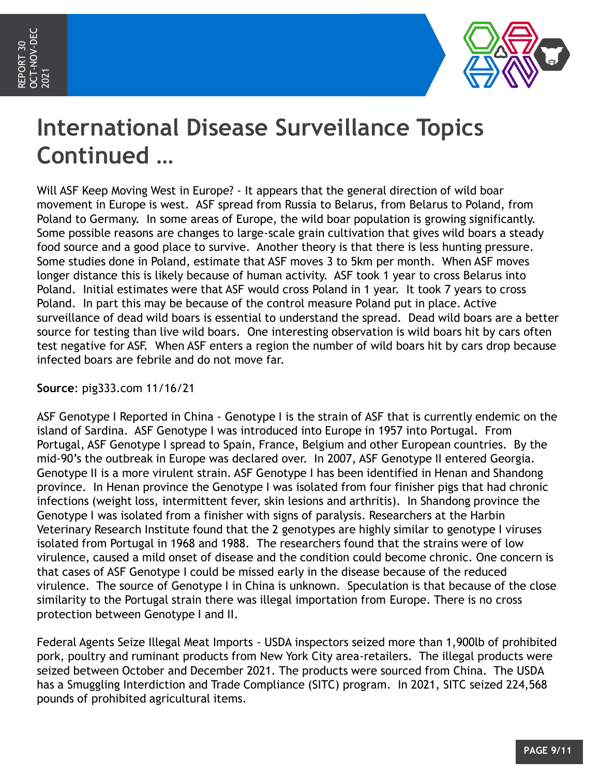

# **International Disease Surveillance Topics Continued …**

Will ASF Keep Moving West in Europe? - It appears that the general direction of wild boar movement in Europe is west. ASF spread from Russia to Belarus, from Belarus to Poland, from Poland to Germany. In some areas of Europe, the wild boar population is growing significantly. Some possible reasons are changes to large-scale grain cultivation that gives wild boars a steady food source and a good place to survive. Another theory is that there is less hunting pressure. Some studies done in Poland, estimate that ASF moves 3 to 5km per month. When ASF moves longer distance this is likely because of human activity. ASF took 1 year to cross Belarus into Poland. Initial estimates were that ASF would cross Poland in 1 year. It took 7 years to cross Poland. In part this may be because of the control measure Poland put in place. Active surveillance of dead wild boars is essential to understand the spread. Dead wild boars are a better source for testing than live wild boars. One interesting observation is wild boars hit by cars often test negative for ASF. When ASF enters a region the number of wild boars hit by cars drop because infected boars are febrile and do not move far.

**Source**: pig333.com 11/16/21

ASF Genotype I Reported in China - Genotype I is the strain of ASF that is currently endemic on the island of Sardina. ASF Genotype I was introduced into Europe in 1957 into Portugal. From Portugal, ASF Genotype I spread to Spain, France, Belgium and other European countries. By the mid-90's the outbreak in Europe was declared over. In 2007, ASF Genotype II entered Georgia. Genotype II is a more virulent strain. ASF Genotype I has been identified in Henan and Shandong province. In Henan province the Genotype I was isolated from four finisher pigs that had chronic infections (weight loss, intermittent fever, skin lesions and arthritis). In Shandong province the Genotype I was isolated from a finisher with signs of paralysis. Researchers at the Harbin Veterinary Research Institute found that the 2 genotypes are highly similar to genotype I viruses isolated from Portugal in 1968 and 1988. The researchers found that the strains were of low virulence, caused a mild onset of disease and the condition could become chronic. One concern is that cases of ASF Genotype I could be missed early in the disease because of the reduced virulence. The source of Genotype I in China is unknown. Speculation is that because of the close similarity to the Portugal strain there was illegal importation from Europe. There is no cross protection between Genotype I and II.

Federal Agents Seize Illegal Meat Imports - USDA inspectors seized more than 1,900lb of prohibited pork, poultry and ruminant products from New York City area-retailers. The illegal products were seized between October and December 2021. The products were sourced from China. The USDA has a Smuggling Interdiction and Trade Compliance (SITC) program. In 2021, SITC seized 224,568 pounds of prohibited agricultural items.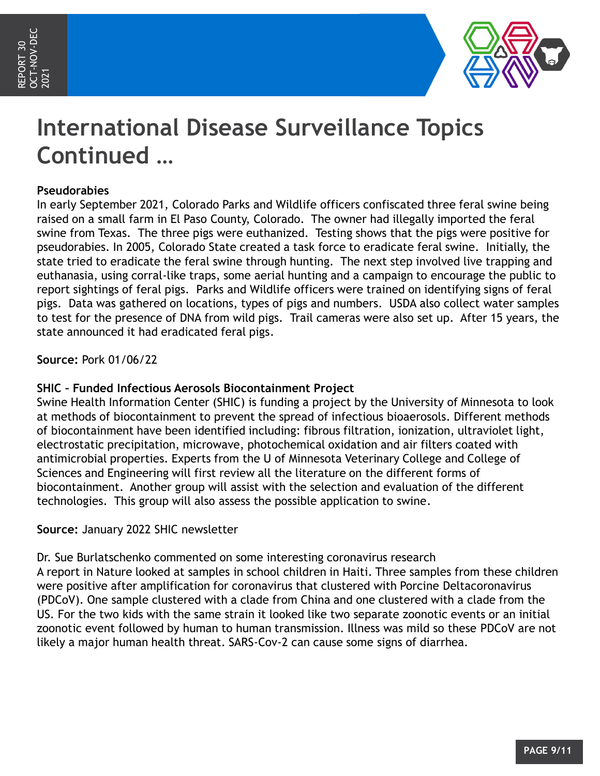

# **International Disease Surveillance Topics Continued …**

#### **Pseudorabies**

In early September 2021, Colorado Parks and Wildlife officers confiscated three feral swine being raised on a small farm in El Paso County, Colorado. The owner had illegally imported the feral swine from Texas. The three pigs were euthanized. Testing shows that the pigs were positive for pseudorabies. In 2005, Colorado State created a task force to eradicate feral swine. Initially, the state tried to eradicate the feral swine through hunting. The next step involved live trapping and euthanasia, using corral-like traps, some aerial hunting and a campaign to encourage the public to report sightings of feral pigs. Parks and Wildlife officers were trained on identifying signs of feral pigs. Data was gathered on locations, types of pigs and numbers. USDA also collect water samples to test for the presence of DNA from wild pigs. Trail cameras were also set up. After 15 years, the state announced it had eradicated feral pigs.

**Source:** Pork 01/06/22

#### **SHIC – Funded Infectious Aerosols Biocontainment Project**

Swine Health Information Center (SHIC) is funding a project by the University of Minnesota to look at methods of biocontainment to prevent the spread of infectious bioaerosols. Different methods of biocontainment have been identified including: fibrous filtration, ionization, ultraviolet light, electrostatic precipitation, microwave, photochemical oxidation and air filters coated with antimicrobial properties. Experts from the U of Minnesota Veterinary College and College of Sciences and Engineering will first review all the literature on the different forms of biocontainment. Another group will assist with the selection and evaluation of the different technologies. This group will also assess the possible application to swine.

#### **Source:** January 2022 SHIC newsletter

Dr. Sue Burlatschenko commented on some interesting coronavirus research A report in Nature looked at samples in school children in Haiti. Three samples from these children were positive after amplification for coronavirus that clustered with Porcine Deltacoronavirus (PDCoV). One sample clustered with a clade from China and one clustered with a clade from the US. For the two kids with the same strain it looked like two separate zoonotic events or an initial zoonotic event followed by human to human transmission. Illness was mild so these PDCoV are not likely a major human health threat. SARS-Cov-2 can cause some signs of diarrhea.